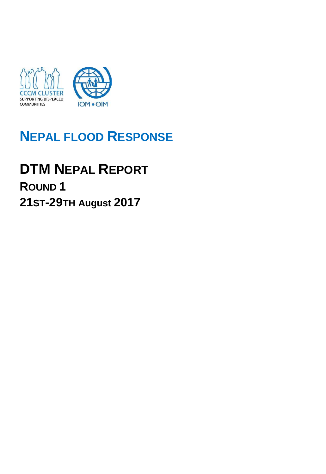

## **NEPAL FLOOD RESPONSE**

# **DTM NEPAL REPORT ROUND 1**

**21ST-29TH August 2017**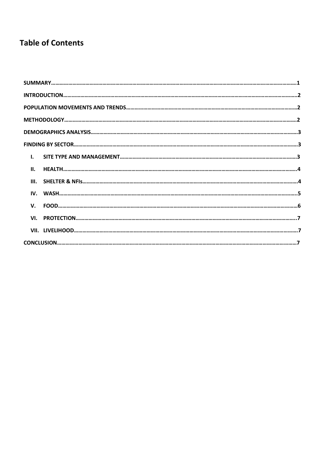## **Table of Contents**

| $\mathbf{I}$ . |  |  |  |  |  |
|----------------|--|--|--|--|--|
| II.            |  |  |  |  |  |
|                |  |  |  |  |  |
|                |  |  |  |  |  |
|                |  |  |  |  |  |
|                |  |  |  |  |  |
|                |  |  |  |  |  |
|                |  |  |  |  |  |
|                |  |  |  |  |  |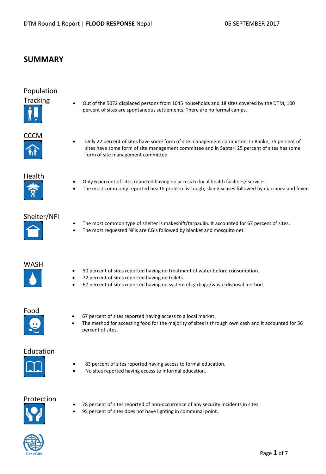## **SUMMARY**

## Population



Tracking • Out of the 5072 displaced persons from 1045 households and 18 sites covered by the DTM, 100 percent of sites are spontaneous settlements. There are no formal camps.



CCCM Only 22 percent of sites have some form of site management committee. In Banke, 75 percent of sites have some form of site management committee and in Saptari 25 percent of sites has some form of site management committee.



- Only 6 percent of sites reported having no access to local health facilities/ services.
- The most commonly reported health problem is cough, skin diseases followed by diarrhoea and fever.

### Shelter/NFI

- The most common type of shelter is makeshift/tarpaulin. It accounted for 67 percent of sites.
- The most requested NFIs are CGIs followed by blanket and mosquito net.



- 50 percent of sites reported having no treatment of water before consumption.
- 72 percent of sites reported having no toilets.
- 67 percent of sites reported having no system of garbage/waste disposal method.

## Food

- 67 percent of sites reported having access to a local market.
- The method for accessing food for the majority of sites is through own cash and it accounted for 56 percent of sites.

#### Education



- 83 percent of sites reported having access to formal education.
- No sites reported having access to informal education.

## Protection

- 
- 78 percent of sites reported of non-occurrence of any security incidents in sites.
- 95 percent of sites does not have lighting in communal point.

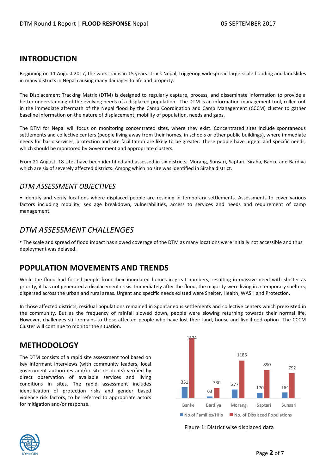## **INTRODUCTION**

Beginning on 11 August 2017, the worst rains in 15 years struck Nepal, triggering widespread large-scale flooding and landslides in many districts in Nepal causing many damages to life and property.

The Displacement Tracking Matrix (DTM) is designed to regularly capture, process, and disseminate information to provide a better understanding of the evolving needs of a displaced population. The DTM is an information management tool, rolled out in the immediate aftermath of the Nepal flood by the Camp Coordination and Camp Management (CCCM) cluster to gather baseline information on the nature of displacement, mobility of population, needs and gaps.

The DTM for Nepal will focus on monitoring concentrated sites, where they exist. Concentrated sites include spontaneous settlements and collective centers (people living away from their homes, in schools or other public buildings), where immediate needs for basic services, protection and site facilitation are likely to be greater. These people have urgent and specific needs, which should be monitored by Government and appropriate clusters.

From 21 August, 18 sites have been identified and assessed in six districts; Morang, Sunsari, Saptari, Siraha, Banke and Bardiya which are six of severely affected districts. Among which no site was identified in Siraha district.

#### *DTM ASSESSMENT OBJECTIVES*

• Identify and verify locations where displaced people are residing in temporary settlements. Assessments to cover various factors including mobility, sex age breakdown, vulnerabilities, access to services and needs and requirement of camp management.

## *DTM ASSESSMENT CHALLENGES*

• The scale and spread of flood impact has slowed coverage of the DTM as many locations were initially not accessible and thus deployment was delayed.

## **POPULATION MOVEMENTS AND TRENDS**

While the flood had forced people from their inundated homes in great numbers, resulting in massive need with shelter as priority, it has not generated a displacement crisis. Immediately after the flood, the majority were living in a temporary shelters, dispersed across the urban and rural areas. Urgent and specific needs existed were Shelter, Health, WASH and Protection.

In those affected districts, residual populations remained in Spontaneous settlements and collective centers which preexisted in the community. But as the frequency of rainfall slowed down, people were slowing returning towards their normal life. However, challenges still remains to those affected people who have lost their land, house and livelihood option. The CCCM Cluster will continue to monitor the situation.

## **METHODOLOGY**

The DTM consists of a rapid site assessment tool based on key informant interviews (with community leaders, local government authorities and/or site residents) verified by direct observation of available services and living conditions in sites. The rapid assessment includes identification of protection risks and gender based violence risk factors, to be referred to appropriate actors for mitigation and/or response.



Figure 1: District wise displaced data

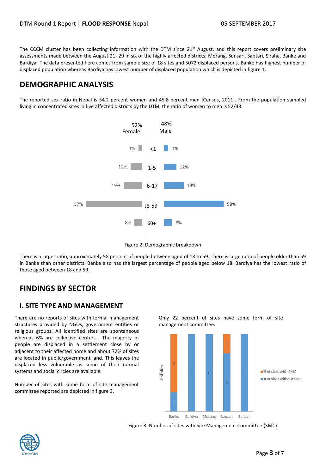The CCCM cluster has been collecting information with the DTM since  $21^{st}$  August, and this report covers preliminary site assessments made between the August 21- 29 in six of the highly affected districts; Morang, Sunsari, Saptari, Siraha, Banke and Bardiya. The data presented here comes from sample size of 18 sites and 5072 displaced persons. Banke has highest number of displaced population whereas Bardiya has lowest number of displaced population which is depicted in figure 1.

## **DEMOGRAPHIC ANALYSIS**

The reported sex ratio in Nepal is 54.2 percent women and 45.8 percent men [Census, 2011]. From the population sampled living in concentrated sites in five affected districts by the DTM, the ratio of women to men is 52/48.



Figure 2: Demographic breakdown

There is a larger ratio, approximately 58 percent of people between aged of 18 to 59. There is large ratio of people older than 59 in Banke than other districts. Banke also has the largest percentage of people aged below 18. Bardiya has the lowest ratio of those aged between 18 and 59.

## **FINDINGS BY SECTOR**

#### **I. SITE TYPE AND MANAGEMENT**

There are no reports of sites with formal management structures provided by NGOs, government entities or religious groups. All identified sites are spontaneous whereas 6% are collective centers. The majority of people are displaced in a settlement close by or adjacent to their affected home and about 72% of sites are located in public/government land. This leaves the displaced less vulnerable as some of their normal systems and social circles are available.

Number of sites with some form of site management committee reported are depicted in figure 3.

Only 22 percent of sites have some form of site management committee.



Figure 3: Number of sites with Site Management Committee (SMC)

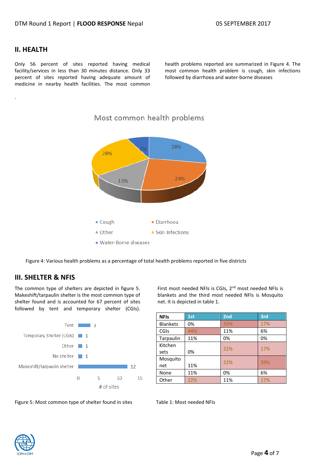#### **II. HEALTH**

.

Only 56 percent of sites reported having medical facility/services in less than 30 minutes distance. Only 33 percent of sites reported having adequate amount of medicine in nearby health facilities. The most common health problems reported are summarized in Figure 4. The most common health problem is cough, skin infections followed by diarrhoea and water-borne diseases



#### Most common health problems

Figure 4: Various health problems as a percentage of total health problems reported in five districts

#### **III. SHELTER & NFIS**

The common type of shelters are depicted in figure 5. Makeshift/tarpaulin shelter is the most common type of shelter found and is accounted for 67 percent of sites followed by tent and temporary shelter (CGIs).



First most needed NFIs is CGIs, 2<sup>nd</sup> most needed NFIs is blankets and the third most needed NFIs is Mosquito net. It is depicted in table 1.

| <b>NFIs</b>     | 1st | 2nd | 3rd |
|-----------------|-----|-----|-----|
| <b>Blankets</b> | 0%  | 33% | 17% |
| CGIS            | 44% | 11% | 6%  |
| Tarpaulin       | 11% | 0%  | 0%  |
| Kitchen         |     | 22% | 17% |
| sets            | 0%  |     |     |
| Mosquito        |     | 22% | 39% |
| net             | 11% |     |     |
| None            | 11% | 0%  | 6%  |
| Other           | 22% | 11% | 17% |

Figure 5: Most common type of shelter found in sites Table 1: Most needed NFIs

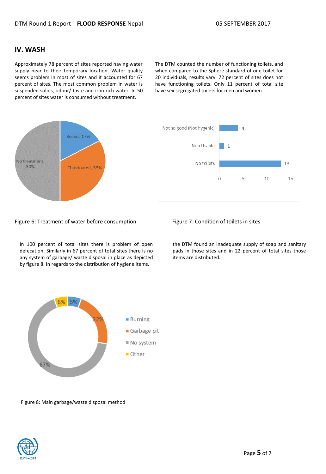#### **IV. WASH**

Approximately 78 percent of sites reported having water supply near to their temporary location. Water quality seems problem in most of sites and it accounted for 67 percent of sites. The most common problem in water is suspended solids, odour/ taste and iron rich water. In 50 percent of sites water is consumed without treatment.

The DTM counted the number of functioning toilets, and when compared to the Sphere standard of one toilet for 20 individuals, results vary. 72 percent of sites does not have functioning toilets. Only 11 percent of total site have sex segregated toilets for men and women.



#### Figure 6: Treatment of water before consumption Figure 7: Condition of toilets in sites

In 100 percent of total sites there is problem of open defecation. Similarly in 67 percent of total sites there is no any system of garbage/ waste disposal in place as depicted by figure 8. In regards to the distribution of hygiene items,

the DTM found an inadequate supply of soap and sanitary pads in those sites and in 22 percent of total sites those items are distributed.



Figure 8: Main garbage/waste disposal method

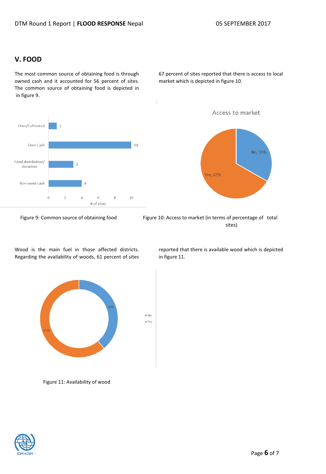### **V. FOOD**

The most common source of obtaining food is through owned cash and it accounted for 56 percent of sites. The common source of obtaining food is depicted in in figure 9.

Own/Cultivated Own Cash 10 Food distribution/ donation Borrowed cash 4  $\circ$  $10$  $\overline{2}$  $\overline{4}$  $\,$  6  $\,$ 8 # of sites

Wood is the main fuel in those affected districts. Regarding the availability of woods, 61 percent of sites

Figure 11: Availability of wood



67 percent of sites reported that there is access to local market which is depicted in figure 10.

No, 33% Yes, 67%

Access to market

Figure 9: Common source of obtaining food Figure 10: Access to market (in terms of percentage of total sites)

 $N<sub>O</sub>$  $\blacksquare$  Yes reported that there is available wood which is depicted in figure 11.